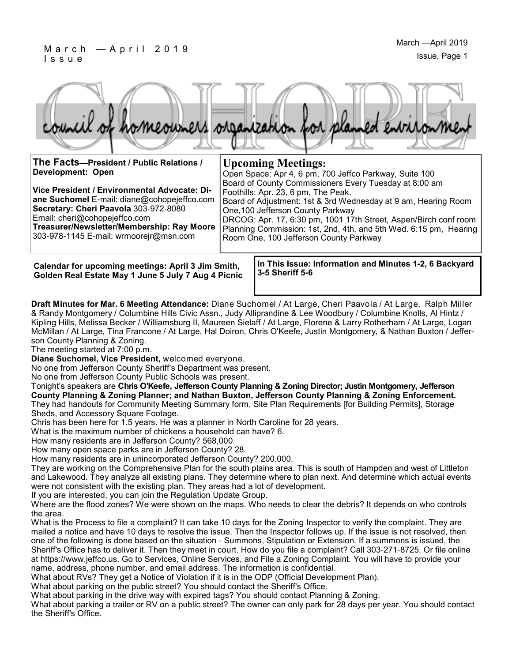

**The Facts—President / Public Relations / Development: Open**

**Vice President / Environmental Advocate: Diane Suchomel** E-mail: diane@cohopejeffco.com **Secretary: Cheri Paavola** 303-972-8080 Email: cheri@cohopejeffco.com **Treasurer/Newsletter/Membership: Ray Moore**  303-978-1145 E-mail: wrmoorejr@msn.com

**Upcoming Meetings:** Open Space: Apr 4, 6 pm, 700 Jeffco Parkway, Suite 100

Room One, 100 Jefferson County Parkway

Board of County Commissioners Every Tuesday at 8:00 am Foothills: Apr. 23, 6 pm, The Peak. Board of Adjustment: 1st & 3rd Wednesday at 9 am, Hearing Room One,100 Jefferson County Parkway DRCOG: Apr. 17, 6:30 pm, 1001 17th Street, Aspen/Birch conf room Planning Commission: 1st, 2nd, 4th, and 5th Wed. 6:15 pm, Hearing

**Calendar for upcoming meetings: April 3 Jim Smith, Golden Real Estate May 1 June 5 July 7 Aug 4 Picnic** **In This Issue: Information and Minutes 1-2, 6 Backyard 3-5 Sheriff 5-6**

**Draft Minutes for Mar. 6 Meeting Attendance:** Diane Suchomel / At Large, Cheri Paavola / At Large, Ralph Miller & Randy Montgomery / Columbine Hills Civic Assn., Judy Alliprandine & Lee Woodbury / Columbine Knolls, Al Hintz / Kipling Hills, Melissa Becker / Williamsburg II, Maureen Sielaff / At Large, Florene & Larry Rotherham / At Large, Logan McMillan / At Large, Tina Francone / At Large, Hal Doiron, Chris O'Keefe, Justin Montgomery, & Nathan Buxton / Jefferson County Planning & Zoning.

The meeting started at 7:00 p.m.

**Diane Suchomel, Vice President,** welcomed everyone.

No one from Jefferson County Sheriff's Department was present.

No one from Jefferson County Public Schools was present.

Tonight's speakers are **Chris O'Keefe, Jefferson County Planning & Zoning Director; Justin Montgomery, Jefferson County Planning & Zoning Planner; and Nathan Buxton, Jefferson County Planning & Zoning Enforcement.** They had handouts for Community Meeting Summary form, Site Plan Requirements [for Building Permits], Storage Sheds, and Accessory Square Footage.

Chris has been here for 1.5 years. He was a planner in North Caroline for 28 years.

What is the maximum number of chickens a household can have? 6.

How many residents are in Jefferson County? 568,000.

How many open space parks are in Jefferson County? 28.

How many residents are in unincorporated Jefferson County? 200,000.

They are working on the Comprehensive Plan for the south plains area. This is south of Hampden and west of Littleton and Lakewood. They analyze all existing plans. They determine where to plan next. And determine which actual events were not consistent with the existing plan. They areas had a lot of development.

If you are interested, you can join the Regulation Update Group.

Where are the flood zones? We were shown on the maps. Who needs to clear the debris? It depends on who controls the area.

What is the Process to file a complaint? It can take 10 days for the Zoning Inspector to verify the complaint. They are mailed a notice and have 10 days to resolve the issue. Then the Inspector follows up. If the issue is not resolved, then one of the following is done based on the situation - Summons, Stipulation or Extension. If a summons is issued, the Sheriff's Office has to deliver it. Then they meet in court. How do you file a complaint? Call 303-271-8725. Or file online at https://www.jeffco.us. Go to Services, Online Services, and File a Zoning Complaint. You will have to provide your name, address, phone number, and email address. The information is confidential.

What about RVs? They get a Notice of Violation if it is in the ODP (Official Development Plan).

What about parking on the public street? You should contact the Sheriff's Office.

What about parking in the drive way with expired tags? You should contact Planning & Zoning.

What about parking a trailer or RV on a public street? The owner can only park for 28 days per year. You should contact the Sheriff's Office.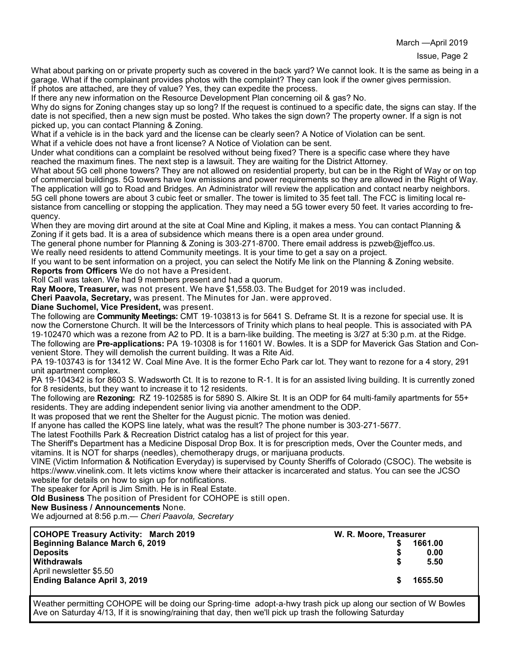March —April 2019

What about parking on or private property such as covered in the back yard? We cannot look. It is the same as being in a garage. What if the complainant provides photos with the complaint? They can look if the owner gives permission. If photos are attached, are they of value? Yes, they can expedite the process.

If there any new information on the Resource Development Plan concerning oil & gas? No.

Why do signs for Zoning changes stay up so long? If the request is continued to a specific date, the signs can stay. If the date is not specified, then a new sign must be posted. Who takes the sign down? The property owner. If a sign is not picked up, you can contact Planning & Zoning.

What if a vehicle is in the back yard and the license can be clearly seen? A Notice of Violation can be sent.

What if a vehicle does not have a front license? A Notice of Violation can be sent.

Under what conditions can a complaint be resolved without being fixed? There is a specific case where they have reached the maximum fines. The next step is a lawsuit. They are waiting for the District Attorney.

What about 5G cell phone towers? They are not allowed on residential property, but can be in the Right of Way or on top of commercial buildings. 5G towers have low emissions and power requirements so they are allowed in the Right of Way. The application will go to Road and Bridges. An Administrator will review the application and contact nearby neighbors. 5G cell phone towers are about 3 cubic feet or smaller. The tower is limited to 35 feet tall. The FCC is limiting local resistance from cancelling or stopping the application. They may need a 5G tower every 50 feet. It varies according to frequency.

When they are moving dirt around at the site at Coal Mine and Kipling, it makes a mess. You can contact Planning & Zoning if it gets bad. It is a area of subsidence which means there is a open area under ground.

The general phone number for Planning & Zoning is 303-271-8700. There email address is pzweb@jeffco.us.

We really need residents to attend Community meetings. It is your time to get a say on a project.

If you want to be sent information on a project, you can select the Notify Me link on the Planning & Zoning website. **Reports from Officers** We do not have a President.

Roll Call was taken. We had 9 members present and had a quorum.

**Ray Moore, Treasurer,** was not present. We have \$1,558.03. The Budget for 2019 was included.

**Cheri Paavola, Secretary,** was present. The Minutes for Jan. were approved.

**Diane Suchomel, Vice President,** was present.

The following are **Community Meetings:** CMT 19-103813 is for 5641 S. Deframe St. It is a rezone for special use. It is now the Cornerstone Church. It will be the Intercessors of Trinity which plans to heal people. This is associated with PA 19-102470 which was a rezone from A2 to PD. It is a barn-like building. The meeting is 3/27 at 5:30 p.m. at the Ridge. The following are **Pre-applications:** PA 19-10308 is for 11601 W. Bowles. It is a SDP for Maverick Gas Station and Convenient Store. They will demolish the current building. It was a Rite Aid.

PA 19-103743 is for 13412 W. Coal Mine Ave. It is the former Echo Park car lot. They want to rezone for a 4 story, 291 unit apartment complex.

PA 19-104342 is for 8603 S. Wadsworth Ct. It is to rezone to R-1. It is for an assisted living building. It is currently zoned for 8 residents, but they want to increase it to 12 residents.

The following are **Rezoning:** RZ 19-102585 is for 5890 S. Alkire St. It is an ODP for 64 multi-family apartments for 55+ residents. They are adding independent senior living via another amendment to the ODP.

It was proposed that we rent the Shelter for the August picnic. The motion was denied.

If anyone has called the KOPS line lately, what was the result? The phone number is 303-271-5677.

The latest Foothills Park & Recreation District catalog has a list of project for this year.

The Sheriff's Department has a Medicine Disposal Drop Box. It is for prescription meds, Over the Counter meds, and vitamins. It is NOT for sharps (needles), chemotherapy drugs, or marijuana products.

VINE (Victim Information & Notification Everyday) is supervised by County Sheriffs of Colorado (CSOC). The website is https://www.vinelink.com. It lets victims know where their attacker is incarcerated and status. You can see the JCSO website for details on how to sign up for notifications.

The speaker for April is Jim Smith. He is in Real Estate.

**Old Business** The position of President for COHOPE is still open.

**New Business / Announcements** None.

We adjourned at 8:56 p.m.— *Cheri Paavola, Secretary*

| <b>COHOPE Treasury Activity: March 2019</b> | W. R. Moore, Treasurer |         |
|---------------------------------------------|------------------------|---------|
| Beginning Balance March 6, 2019             |                        | 1661.00 |
| Deposits                                    |                        | 0.00    |
| <b>Withdrawals</b>                          | -SG                    | 5.50    |
| April newsletter \$5.50                     |                        |         |
| <b>Ending Balance April 3, 2019</b>         |                        | 1655.50 |
|                                             |                        |         |

Weather permitting COHOPE will be doing our Spring-time adopt-a-hwy trash pick up along our section of W Bowles Ave on Saturday 4/13, If it is snowing/raining that day, then we'll pick up trash the following Saturday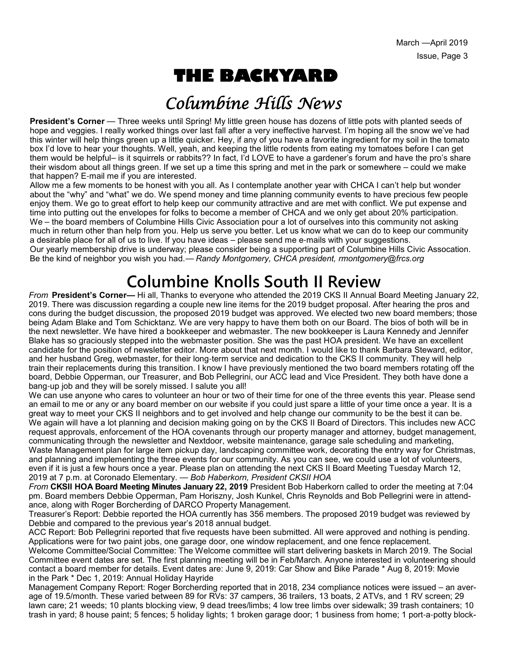# **THE BACKYARD**

### Columbine Hills News

**President's Corner** — Three weeks until Spring! My little green house has dozens of little pots with planted seeds of hope and veggies. I really worked things over last fall after a very ineffective harvest. I'm hoping all the snow we've had this winter will help things green up a little quicker. Hey, if any of you have a favorite ingredient for my soil in the tomato box I'd love to hear your thoughts. Well, yeah, and keeping the little rodents from eating my tomatoes before I can get them would be helpful– is it squirrels or rabbits?? In fact, I'd LOVE to have a gardener's forum and have the pro's share their wisdom about all things green. If we set up a time this spring and met in the park or somewhere – could we make that happen? E-mail me if you are interested.

Allow me a few moments to be honest with you all. As I contemplate another year with CHCA I can't help but wonder about the "why" and "what" we do. We spend money and time planning community events to have precious few people enjoy them. We go to great effort to help keep our community attractive and are met with conflict. We put expense and time into putting out the envelopes for folks to become a member of CHCA and we only get about 20% participation. We – the board members of Columbine Hills Civic Association pour a lot of ourselves into this community not asking much in return other than help from you. Help us serve you better. Let us know what we can do to keep our community a desirable place for all of us to live. If you have ideas – please send me e-mails with your suggestions. Our yearly membership drive is underway; please consider being a supporting part of Columbine Hills Civic Assocation. Be the kind of neighbor you wish you had.— *Randy Montgomery, CHCA president, rmontgomery@frcs.org*

## **Columbine Knolls South II Review**

*From* **President's Corner—** Hi all, Thanks to everyone who attended the 2019 CKS II Annual Board Meeting January 22, 2019. There was discussion regarding a couple new line items for the 2019 budget proposal. After hearing the pros and cons during the budget discussion, the proposed 2019 budget was approved. We elected two new board members; those being Adam Blake and Tom Schicktanz. We are very happy to have them both on our Board. The bios of both will be in the next newsletter. We have hired a bookkeeper and webmaster. The new bookkeeper is Laura Kennedy and Jennifer Blake has so graciously stepped into the webmaster position. She was the past HOA president. We have an excellent candidate for the position of newsletter editor. More about that next month. I would like to thank Barbara Steward, editor, and her husband Greg, webmaster, for their long-term service and dedication to the CKS II community. They will help train their replacements during this transition. I know I have previously mentioned the two board members rotating off the board, Debbie Opperman, our Treasurer, and Bob Pellegrini, our ACC lead and Vice President. They both have done a bang-up job and they will be sorely missed. I salute you all!

We can use anyone who cares to volunteer an hour or two of their time for one of the three events this year. Please send an email to me or any or any board member on our website if you could just spare a little of your time once a year. It is a great way to meet your CKS II neighbors and to get involved and help change our community to be the best it can be. We again will have a lot planning and decision making going on by the CKS II Board of Directors. This includes new ACC request approvals, enforcement of the HOA covenants through our property manager and attorney, budget management, communicating through the newsletter and Nextdoor, website maintenance, garage sale scheduling and marketing, Waste Management plan for large item pickup day, landscaping committee work, decorating the entry way for Christmas, and planning and implementing the three events for our community. As you can see, we could use a lot of volunteers, even if it is just a few hours once a year. Please plan on attending the next CKS II Board Meeting Tuesday March 12, 2019 at 7 p.m. at Coronado Elementary. — *Bob Haberkorn, President CKSII HOA*

*From* **CKSII HOA Board Meeting Minutes January 22, 2019** President Bob Haberkorn called to order the meeting at 7:04 pm. Board members Debbie Opperman, Pam Horiszny, Josh Kunkel, Chris Reynolds and Bob Pellegrini were in attendance, along with Roger Borcherding of DARCO Property Management.

Treasurer's Report: Debbie reported the HOA currently has 356 members. The proposed 2019 budget was reviewed by Debbie and compared to the previous year's 2018 annual budget.

ACC Report: Bob Pellegrini reported that five requests have been submitted. All were approved and nothing is pending. Applications were for two paint jobs, one garage door, one window replacement, and one fence replacement.

Welcome Committee/Social Committee: The Welcome committee will start delivering baskets in March 2019. The Social Committee event dates are set. The first planning meeting will be in Feb/March. Anyone interested in volunteering should contact a board member for details. Event dates are: June 9, 2019: Car Show and Bike Parade \* Aug 8, 2019: Movie in the Park \* Dec 1, 2019: Annual Holiday Hayride

Management Company Report: Roger Borcherding reported that in 2018, 234 compliance notices were issued – an average of 19.5/month. These varied between 89 for RVs: 37 campers, 36 trailers, 13 boats, 2 ATVs, and 1 RV screen; 29 lawn care; 21 weeds; 10 plants blocking view, 9 dead trees/limbs; 4 low tree limbs over sidewalk; 39 trash containers; 10 trash in yard; 8 house paint; 5 fences; 5 holiday lights; 1 broken garage door; 1 business from home; 1 port-a-potty block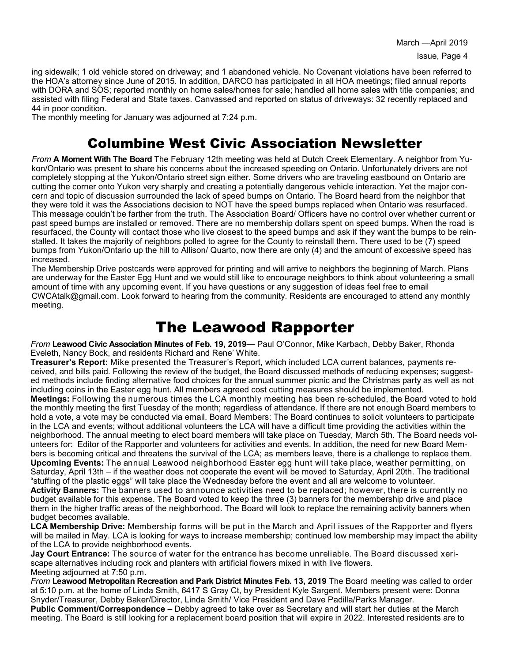ing sidewalk; 1 old vehicle stored on driveway; and 1 abandoned vehicle. No Covenant violations have been referred to the HOA's attorney since June of 2015. In addition, DARCO has participated in all HOA meetings; filed annual reports with DORA and SOS; reported monthly on home sales/homes for sale; handled all home sales with title companies; and assisted with filing Federal and State taxes. Canvassed and reported on status of driveways: 32 recently replaced and 44 in poor condition.

The monthly meeting for January was adjourned at 7:24 p.m.

### Columbine West Civic Association Newsletter

*From* **A Moment With The Board** The February 12th meeting was held at Dutch Creek Elementary. A neighbor from Yukon/Ontario was present to share his concerns about the increased speeding on Ontario. Unfortunately drivers are not completely stopping at the Yukon/Ontario street sign either. Some drivers who are traveling eastbound on Ontario are cutting the corner onto Yukon very sharply and creating a potentially dangerous vehicle interaction. Yet the major concern and topic of discussion surrounded the lack of speed bumps on Ontario. The Board heard from the neighbor that they were told it was the Associations decision to NOT have the speed bumps replaced when Ontario was resurfaced. This message couldn't be farther from the truth. The Association Board/ Officers have no control over whether current or past speed bumps are installed or removed. There are no membership dollars spent on speed bumps. When the road is resurfaced, the County will contact those who live closest to the speed bumps and ask if they want the bumps to be reinstalled. It takes the majority of neighbors polled to agree for the County to reinstall them. There used to be (7) speed bumps from Yukon/Ontario up the hill to Allison/ Quarto, now there are only (4) and the amount of excessive speed has increased.

The Membership Drive postcards were approved for printing and will arrive to neighbors the beginning of March. Plans are underway for the Easter Egg Hunt and we would still like to encourage neighbors to think about volunteering a small amount of time with any upcoming event. If you have questions or any suggestion of ideas feel free to email CWCAtalk@gmail.com. Look forward to hearing from the community. Residents are encouraged to attend any monthly meeting.

### The Leawood Rapporter

*From* **Leawood Civic Association Minutes of Feb. 19, 2019**— Paul O'Connor, Mike Karbach, Debby Baker, Rhonda Eveleth, Nancy Bock, and residents Richard and Rene' White.

**Treasurer's Report:** Mike presented the Treasurer's Report, which included LCA current balances, payments received, and bills paid. Following the review of the budget, the Board discussed methods of reducing expenses; suggested methods include finding alternative food choices for the annual summer picnic and the Christmas party as well as not including coins in the Easter egg hunt. All members agreed cost cutting measures should be implemented.

**Meetings:** Following the numerous times the LCA monthly meeting has been re-scheduled, the Board voted to hold the monthly meeting the first Tuesday of the month; regardless of attendance. If there are not enough Board members to hold a vote, a vote may be conducted via email. Board Members: The Board continues to solicit volunteers to participate in the LCA and events; without additional volunteers the LCA will have a difficult time providing the activities within the neighborhood. The annual meeting to elect board members will take place on Tuesday, March 5th. The Board needs volunteers for: Editor of the Rapporter and volunteers for activities and events. In addition, the need for new Board Members is becoming critical and threatens the survival of the LCA; as members leave, there is a challenge to replace them. **Upcoming Events:** The annual Leawood neighborhood Easter egg hunt will take place, weather permitting, on Saturday, April 13th – if the weather does not cooperate the event will be moved to Saturday, April 20th. The traditional "stuffing of the plastic eggs" will take place the Wednesday before the event and all are welcome to volunteer. **Activity Banners:** The banners used to announce activities need to be replaced; however, there is currently no budget available for this expense. The Board voted to keep the three (3) banners for the membership drive and place them in the higher traffic areas of the neighborhood. The Board will look to replace the remaining activity banners when budget becomes available.

**LCA Membership Drive:** Membership forms will be put in the March and April issues of the Rapporter and flyers will be mailed in May. LCA is looking for ways to increase membership; continued low membership may impact the ability of the LCA to provide neighborhood events.

**Jay Court Entrance:** The source of water for the entrance has become unreliable. The Board discussed xeriscape alternatives including rock and planters with artificial flowers mixed in with live flowers. Meeting adjourned at 7:50 p.m.

*From* **Leawood Metropolitan Recreation and Park District Minutes Feb. 13, 2019** The Board meeting was called to order at 5:10 p.m. at the home of Linda Smith, 6417 S Gray Ct, by President Kyle Sargent. Members present were: Donna Snyder/Treasurer, Debby Baker/Director, Linda Smith/ Vice President and Dave Padilla/Parks Manager.

**Public Comment/Correspondence –** Debby agreed to take over as Secretary and will start her duties at the March meeting. The Board is still looking for a replacement board position that will expire in 2022. Interested residents are to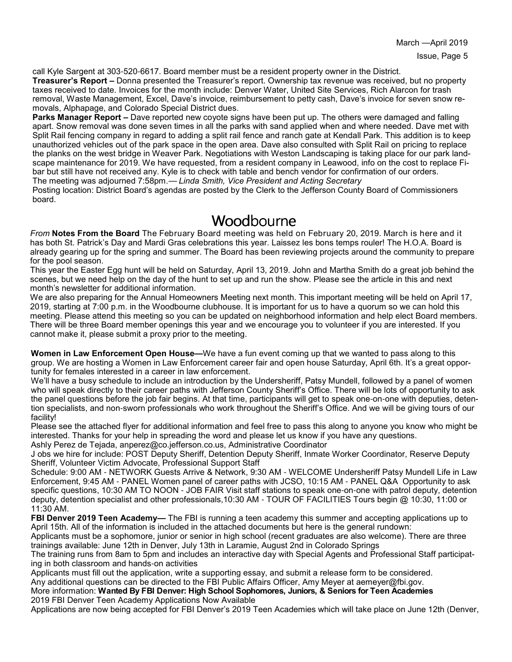call Kyle Sargent at 303-520-6617. Board member must be a resident property owner in the District.

**Treasurer's Report –** Donna presented the Treasurer's report. Ownership tax revenue was received, but no property taxes received to date. Invoices for the month include: Denver Water, United Site Services, Rich Alarcon for trash removal, Waste Management, Excel, Dave's invoice, reimbursement to petty cash, Dave's invoice for seven snow removals, Alphapage, and Colorado Special District dues.

**Parks Manager Report –** Dave reported new coyote signs have been put up. The others were damaged and falling apart. Snow removal was done seven times in all the parks with sand applied when and where needed. Dave met with Split Rail fencing company in regard to adding a split rail fence and ranch gate at Kendall Park. This addition is to keep unauthorized vehicles out of the park space in the open area. Dave also consulted with Split Rail on pricing to replace the planks on the west bridge in Weaver Park. Negotiations with Weston Landscaping is taking place for our park landscape maintenance for 2019. We have requested, from a resident company in Leawood, info on the cost to replace Fibar but still have not received any. Kyle is to check with table and bench vendor for confirmation of our orders. The meeting was adjourned 7:58pm.— *Linda Smith, Vice President and Acting Secretary*

Posting location: District Board's agendas are posted by the Clerk to the Jefferson County Board of Commissioners board.

#### Woodbourne

*From* **Notes From the Board** The February Board meeting was held on February 20, 2019. March is here and it has both St. Patrick's Day and Mardi Gras celebrations this year. Laissez les bons temps rouler! The H.O.A. Board is already gearing up for the spring and summer. The Board has been reviewing projects around the community to prepare for the pool season.

This year the Easter Egg hunt will be held on Saturday, April 13, 2019. John and Martha Smith do a great job behind the scenes, but we need help on the day of the hunt to set up and run the show. Please see the article in this and next month's newsletter for additional information.

We are also preparing for the Annual Homeowners Meeting next month. This important meeting will be held on April 17, 2019, starting at 7:00 p.m. in the Woodbourne clubhouse. It is important for us to have a quorum so we can hold this meeting. Please attend this meeting so you can be updated on neighborhood information and help elect Board members. There will be three Board member openings this year and we encourage you to volunteer if you are interested. If you cannot make it, please submit a proxy prior to the meeting.

**Women in Law Enforcement Open House—**We have a fun event coming up that we wanted to pass along to this group. We are hosting a Women in Law Enforcement career fair and open house Saturday, April 6th. It's a great opportunity for females interested in a career in law enforcement.

We'll have a busy schedule to include an introduction by the Undersheriff, Patsy Mundell, followed by a panel of women who will speak directly to their career paths with Jefferson County Sheriff's Office. There will be lots of opportunity to ask the panel questions before the job fair begins. At that time, participants will get to speak one-on-one with deputies, detention specialists, and non-sworn professionals who work throughout the Sheriff's Office. And we will be giving tours of our facility!

Please see the attached flyer for additional information and feel free to pass this along to anyone you know who might be interested. Thanks for your help in spreading the word and please let us know if you have any questions.

Ashly Perez de Tejada, anperez@co.jefferson.co.us, Administrative Coordinator

J obs we hire for include: POST Deputy Sheriff, Detention Deputy Sheriff, Inmate Worker Coordinator, Reserve Deputy Sheriff, Volunteer Victim Advocate, Professional Support Staff

Schedule: 9:00 AM - NETWORK Guests Arrive & Network, 9:30 AM - WELCOME Undersheriff Patsy Mundell Life in Law Enforcement, 9:45 AM - PANEL Women panel of career paths with JCSO, 10:15 AM - PANEL Q&A Opportunity to ask specific questions, 10:30 AM TO NOON - JOB FAIR Visit staff stations to speak one-on-one with patrol deputy, detention deputy, detention specialist and other professionals,10:30 AM - TOUR OF FACILITIES Tours begin @ 10:30, 11:00 or 11:30 AM.

**FBI Denver 2019 Teen Academy—** The FBI is running a teen academy this summer and accepting applications up to April 15th. All of the information is included in the attached documents but here is the general rundown:

Applicants must be a sophomore, junior or senior in high school (recent graduates are also welcome). There are three trainings available: June 12th in Denver, July 13th in Laramie, August 2nd in Colorado Springs

The training runs from 8am to 5pm and includes an interactive day with Special Agents and Professional Staff participating in both classroom and hands-on activities

Applicants must fill out the application, write a supporting essay, and submit a release form to be considered.

Any additional questions can be directed to the FBI Public Affairs Officer, Amy Meyer at aemeyer@fbi.gov. More information: **Wanted By FBI Denver: High School Sophomores, Juniors, & Seniors for Teen Academies**

2019 FBI Denver Teen Academy Applications Now Available

Applications are now being accepted for FBI Denver's 2019 Teen Academies which will take place on June 12th (Denver,